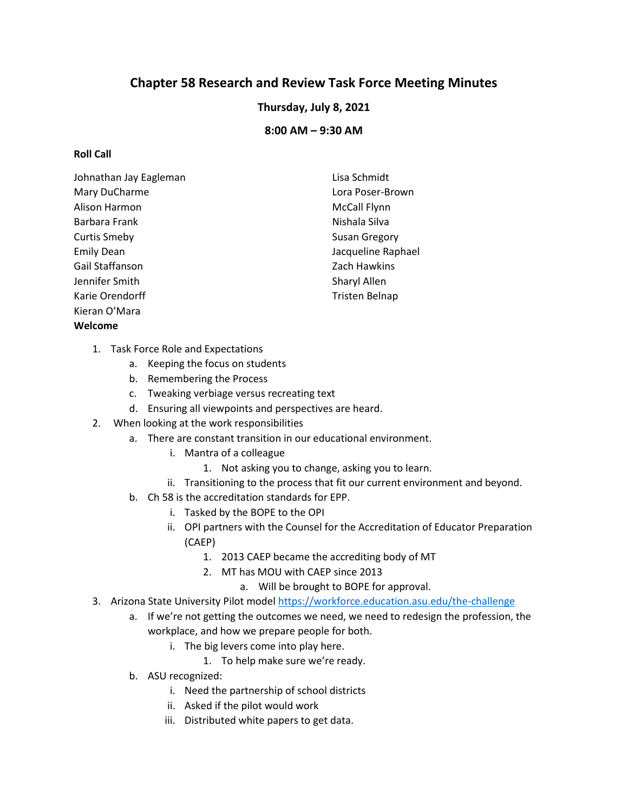# **Chapter 58 Research and Review Task Force Meeting Minutes**

# **Thursday, July 8, 2021**

# **8:00 AM – 9:30 AM**

### **Roll Call**

| Johnathan Jay Eagleman | Lisa Schmidt         |
|------------------------|----------------------|
| Mary DuCharme          | Lora Poser-Brown     |
| Alison Harmon          | <b>McCall Flynn</b>  |
| Barbara Frank          | Nishala Silva        |
| <b>Curtis Smeby</b>    | <b>Susan Gregory</b> |
| <b>Emily Dean</b>      | Jacqueline Raphael   |
| Gail Staffanson        | Zach Hawkins         |
| Jennifer Smith         | Sharyl Allen         |
| Karie Orendorff        | Tristen Belnap       |
| Kieran O'Mara          |                      |
| Welcome                |                      |

- 
- 1. Task Force Role and Expectations a. Keeping the focus on students
	- b. Remembering the Process
	- c. Tweaking verbiage versus recreating text
	- d. Ensuring all viewpoints and perspectives are heard.
- 2. When looking at the work responsibilities
	- a. There are constant transition in our educational environment.
		- i. Mantra of a colleague
			- 1. Not asking you to change, asking you to learn.
		- ii. Transitioning to the process that fit our current environment and beyond.
	- b. Ch 58 is the accreditation standards for EPP.
		- i. Tasked by the BOPE to the OPI
		- ii. OPI partners with the Counsel for the Accreditation of Educator Preparation (CAEP)
			- 1. 2013 CAEP became the accrediting body of MT
			- 2. MT has MOU with CAEP since 2013
				- a. Will be brought to BOPE for approval.
- 3. Arizona State University Pilot model<https://workforce.education.asu.edu/the-challenge>
	- a. If we're not getting the outcomes we need, we need to redesign the profession, the workplace, and how we prepare people for both.
		- i. The big levers come into play here.
			- 1. To help make sure we're ready.
	- b. ASU recognized:
		- i. Need the partnership of school districts
		- ii. Asked if the pilot would work
		- iii. Distributed white papers to get data.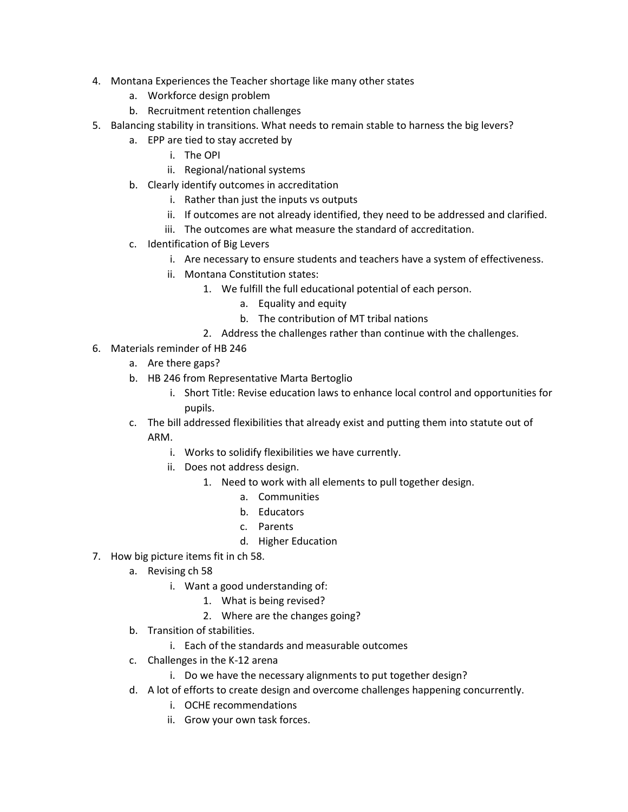- 4. Montana Experiences the Teacher shortage like many other states
	- a. Workforce design problem
	- b. Recruitment retention challenges
- 5. Balancing stability in transitions. What needs to remain stable to harness the big levers?
	- a. EPP are tied to stay accreted by
		- i. The OPI
		- ii. Regional/national systems
	- b. Clearly identify outcomes in accreditation
		- i. Rather than just the inputs vs outputs
		- ii. If outcomes are not already identified, they need to be addressed and clarified.
		- iii. The outcomes are what measure the standard of accreditation.
	- c. Identification of Big Levers
		- i. Are necessary to ensure students and teachers have a system of effectiveness.
		- ii. Montana Constitution states:
			- 1. We fulfill the full educational potential of each person.
				- a. Equality and equity
				- b. The contribution of MT tribal nations
			- 2. Address the challenges rather than continue with the challenges.
- 6. Materials reminder of HB 246
	- a. Are there gaps?
	- b. HB 246 from Representative Marta Bertoglio
		- i. Short Title: Revise education laws to enhance local control and opportunities for pupils.
	- c. The bill addressed flexibilities that already exist and putting them into statute out of ARM.
		- i. Works to solidify flexibilities we have currently.
		- ii. Does not address design.
			- 1. Need to work with all elements to pull together design.
				- a. Communities
				- b. Educators
				- c. Parents
				- d. Higher Education
- 7. How big picture items fit in ch 58.
	- a. Revising ch 58
		- i. Want a good understanding of:
			- 1. What is being revised?
			- 2. Where are the changes going?
	- b. Transition of stabilities.
		- i. Each of the standards and measurable outcomes
	- c. Challenges in the K-12 arena
		- i. Do we have the necessary alignments to put together design?
	- d. A lot of efforts to create design and overcome challenges happening concurrently.
		- i. OCHE recommendations
		- ii. Grow your own task forces.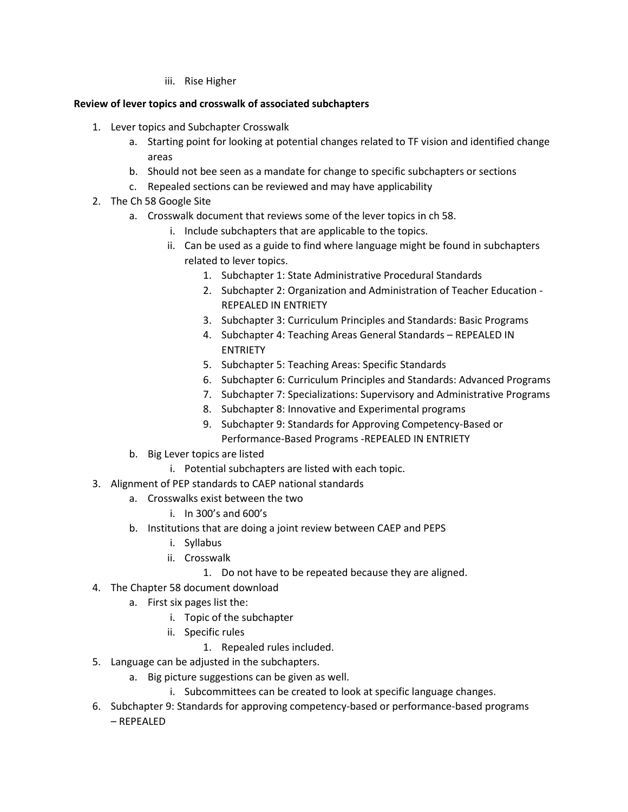iii. Rise Higher

#### **Review of lever topics and crosswalk of associated subchapters**

- 1. Lever topics and Subchapter Crosswalk
	- a. Starting point for looking at potential changes related to TF vision and identified change areas
	- b. Should not bee seen as a mandate for change to specific subchapters or sections
	- c. Repealed sections can be reviewed and may have applicability
- 2. The Ch 58 Google Site
	- a. Crosswalk document that reviews some of the lever topics in ch 58.
		- i. Include subchapters that are applicable to the topics.
		- ii. Can be used as a guide to find where language might be found in subchapters related to lever topics.
			- 1. Subchapter 1: State Administrative Procedural Standards
			- 2. Subchapter 2: Organization and Administration of Teacher Education REPEALED IN ENTRIETY
			- 3. Subchapter 3: Curriculum Principles and Standards: Basic Programs
			- 4. Subchapter 4: Teaching Areas General Standards REPEALED IN ENTRIETY
			- 5. Subchapter 5: Teaching Areas: Specific Standards
			- 6. Subchapter 6: Curriculum Principles and Standards: Advanced Programs
			- 7. Subchapter 7: Specializations: Supervisory and Administrative Programs
			- 8. Subchapter 8: Innovative and Experimental programs
			- 9. Subchapter 9: Standards for Approving Competency-Based or
				- Performance-Based Programs -REPEALED IN ENTRIETY
	- b. Big Lever topics are listed
		- i. Potential subchapters are listed with each topic.
- 3. Alignment of PEP standards to CAEP national standards
	- a. Crosswalks exist between the two
		- i. In 300's and 600's
	- b. Institutions that are doing a joint review between CAEP and PEPS
		- i. Syllabus
		- ii. Crosswalk
			- 1. Do not have to be repeated because they are aligned.
- 4. The Chapter 58 document download
	- a. First six pages list the:
		- i. Topic of the subchapter
		- ii. Specific rules
			- 1. Repealed rules included.
- 5. Language can be adjusted in the subchapters.
	- a. Big picture suggestions can be given as well.
		- i. Subcommittees can be created to look at specific language changes.
- 6. Subchapter 9: Standards for approving competency-based or performance-based programs – REPEALED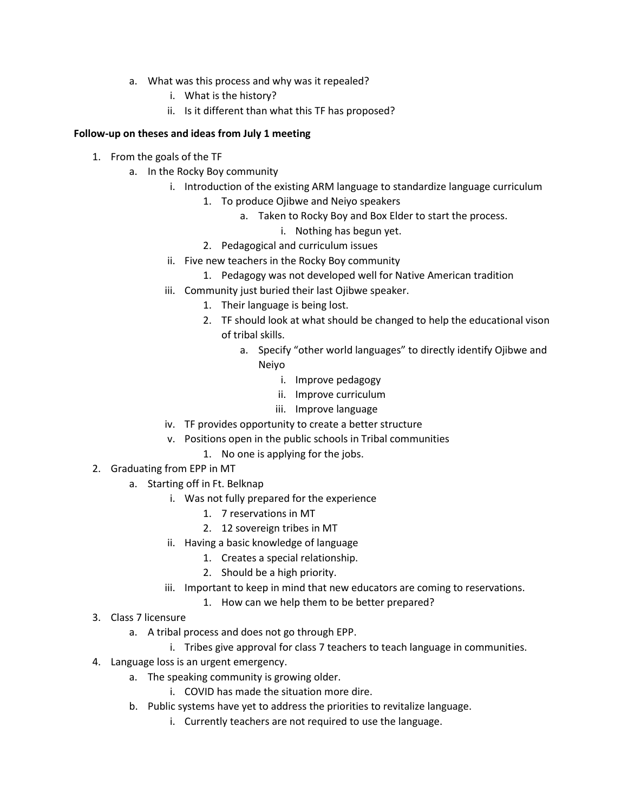- a. What was this process and why was it repealed?
	- i. What is the history?
	- ii. Is it different than what this TF has proposed?

#### **Follow-up on theses and ideas from July 1 meeting**

- 1. From the goals of the TF
	- a. In the Rocky Boy community
		- i. Introduction of the existing ARM language to standardize language curriculum
			- 1. To produce Ojibwe and Neiyo speakers
				- a. Taken to Rocky Boy and Box Elder to start the process.
					- i. Nothing has begun yet.
			- 2. Pedagogical and curriculum issues
		- ii. Five new teachers in the Rocky Boy community
			- 1. Pedagogy was not developed well for Native American tradition
		- iii. Community just buried their last Ojibwe speaker.
			- 1. Their language is being lost.
			- 2. TF should look at what should be changed to help the educational vison of tribal skills.
				- a. Specify "other world languages" to directly identify Ojibwe and Neiyo
					- i. Improve pedagogy
					- ii. Improve curriculum
					- iii. Improve language
		- iv. TF provides opportunity to create a better structure
		- v. Positions open in the public schools in Tribal communities
			- 1. No one is applying for the jobs.
- 2. Graduating from EPP in MT
	- a. Starting off in Ft. Belknap
		- i. Was not fully prepared for the experience
			- 1. 7 reservations in MT
			- 2. 12 sovereign tribes in MT
		- ii. Having a basic knowledge of language
			- 1. Creates a special relationship.
			- 2. Should be a high priority.
		- iii. Important to keep in mind that new educators are coming to reservations.
			- 1. How can we help them to be better prepared?
- 3. Class 7 licensure
	- a. A tribal process and does not go through EPP.
		- i. Tribes give approval for class 7 teachers to teach language in communities.
- 4. Language loss is an urgent emergency.
	- a. The speaking community is growing older.
		- i. COVID has made the situation more dire.
	- b. Public systems have yet to address the priorities to revitalize language.
		- i. Currently teachers are not required to use the language.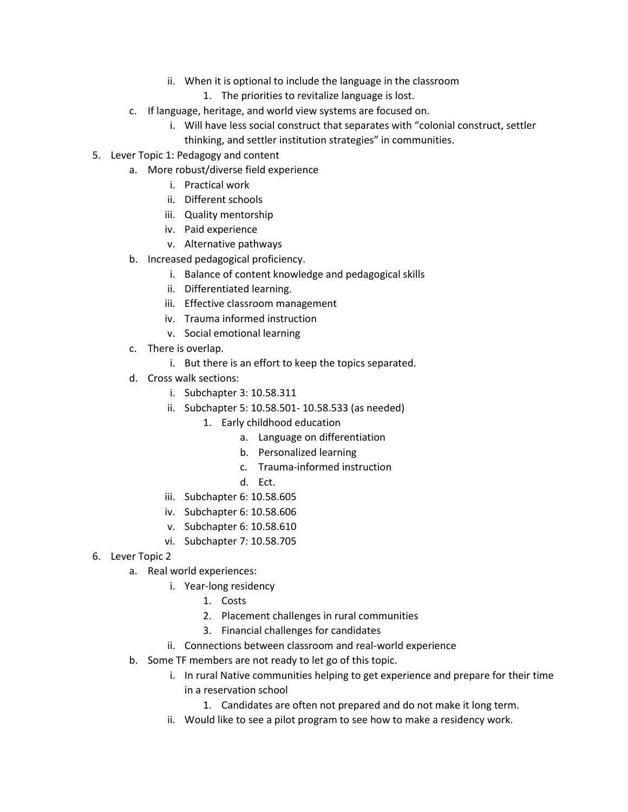- ii. When it is optional to include the language in the classroom
	- 1. The priorities to revitalize language is lost.
- c. If language, heritage, and world view systems are focused on.
	- i. Will have less social construct that separates with "colonial construct, settler thinking, and settler institution strategies" in communities.
- 5. Lever Topic 1: Pedagogy and content
	- a. More robust/diverse field experience
		- i. Practical work
		- ii. Different schools
		- iii. Quality mentorship
		- iv. Paid experience
		- v. Alternative pathways
	- b. Increased pedagogical proficiency.
		- i. Balance of content knowledge and pedagogical skills
		- ii. Differentiated learning.
		- iii. Effective classroom management
		- iv. Trauma informed instruction
		- v. Social emotional learning
	- c. There is overlap.
		- i. But there is an effort to keep the topics separated.
	- d. Cross walk sections:
		- i. Subchapter 3: 10.58.311
		- ii. Subchapter 5: 10.58.501- 10.58.533 (as needed)
			- 1. Early childhood education
				- a. Language on differentiation
				- b. Personalized learning
				- c. Trauma-informed instruction
				- d. Ect.
		- iii. Subchapter 6: 10.58.605
		- iv. Subchapter 6: 10.58.606
		- v. Subchapter 6: 10.58.610
		- vi. Subchapter 7: 10.58.705
- 6. Lever Topic 2
	- a. Real world experiences:
		- i. Year-long residency
			- 1. Costs
			- 2. Placement challenges in rural communities
			- 3. Financial challenges for candidates
		- ii. Connections between classroom and real-world experience
	- b. Some TF members are not ready to let go of this topic.
		- i. In rural Native communities helping to get experience and prepare for their time in a reservation school
			- 1. Candidates are often not prepared and do not make it long term.
		- ii. Would like to see a pilot program to see how to make a residency work.